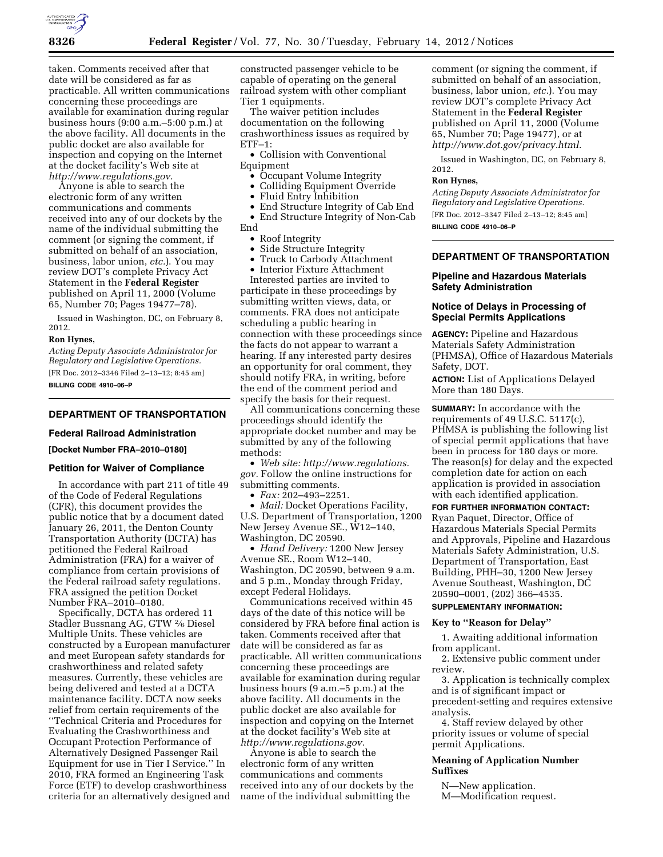

taken. Comments received after that date will be considered as far as practicable. All written communications concerning these proceedings are available for examination during regular business hours (9:00 a.m.–5:00 p.m.) at the above facility. All documents in the public docket are also available for inspection and copying on the Internet at the docket facility's Web site at *[http://www.regulations.gov.](http://www.regulations.gov)* 

Anyone is able to search the electronic form of any written communications and comments received into any of our dockets by the name of the individual submitting the comment (or signing the comment, if submitted on behalf of an association, business, labor union, *etc.*). You may review DOT's complete Privacy Act Statement in the **Federal Register**  published on April 11, 2000 (Volume 65, Number 70; Pages 19477–78).

Issued in Washington, DC, on February 8, 2012.

#### **Ron Hynes,**

*Acting Deputy Associate Administrator for Regulatory and Legislative Operations.*  [FR Doc. 2012–3346 Filed 2–13–12; 8:45 am] **BILLING CODE 4910–06–P** 

# **DEPARTMENT OF TRANSPORTATION**

## **Federal Railroad Administration**

**[Docket Number FRA–2010–0180]** 

### **Petition for Waiver of Compliance**

In accordance with part 211 of title 49 of the Code of Federal Regulations (CFR), this document provides the public notice that by a document dated January 26, 2011, the Denton County Transportation Authority (DCTA) has petitioned the Federal Railroad Administration (FRA) for a waiver of compliance from certain provisions of the Federal railroad safety regulations. FRA assigned the petition Docket Number FRA–2010–0180.

Specifically, DCTA has ordered 11 Stadler Bussnang AG, GTW 2⁄6 Diesel Multiple Units. These vehicles are constructed by a European manufacturer and meet European safety standards for crashworthiness and related safety measures. Currently, these vehicles are being delivered and tested at a DCTA maintenance facility. DCTA now seeks relief from certain requirements of the ''Technical Criteria and Procedures for Evaluating the Crashworthiness and Occupant Protection Performance of Alternatively Designed Passenger Rail Equipment for use in Tier I Service.'' In 2010, FRA formed an Engineering Task Force (ETF) to develop crashworthiness criteria for an alternatively designed and

constructed passenger vehicle to be capable of operating on the general railroad system with other compliant Tier 1 equipments.

The waiver petition includes documentation on the following crashworthiness issues as required by ETF–1:

• Collision with Conventional Equipment

- Occupant Volume Integrity
- Colliding Equipment Override
- Fluid Entry Inhibition

• End Structure Integrity of Cab End • End Structure Integrity of Non-Cab End

- Roof Integrity
- Side Structure Integrity
- Truck to Carbody Attachment

• Interior Fixture Attachment Interested parties are invited to participate in these proceedings by submitting written views, data, or comments. FRA does not anticipate scheduling a public hearing in connection with these proceedings since the facts do not appear to warrant a hearing. If any interested party desires an opportunity for oral comment, they should notify FRA, in writing, before the end of the comment period and specify the basis for their request.

All communications concerning these proceedings should identify the appropriate docket number and may be submitted by any of the following methods:

• *Web site: [http://www.regulations.](http://www.regulations.gov) [gov.](http://www.regulations.gov)* Follow the online instructions for submitting comments.

• *Fax:* 202–493–2251.

• *Mail:* Docket Operations Facility, U.S. Department of Transportation, 1200 New Jersey Avenue SE., W12–140, Washington, DC 20590.

• *Hand Delivery:* 1200 New Jersey Avenue SE., Room W12–140, Washington, DC 20590, between 9 a.m. and 5 p.m., Monday through Friday, except Federal Holidays.

Communications received within 45 days of the date of this notice will be considered by FRA before final action is taken. Comments received after that date will be considered as far as practicable. All written communications concerning these proceedings are available for examination during regular business hours (9 a.m.–5 p.m.) at the above facility. All documents in the public docket are also available for inspection and copying on the Internet at the docket facility's Web site at *[http://www.regulations.gov.](http://www.regulations.gov)* 

Anyone is able to search the electronic form of any written communications and comments received into any of our dockets by the name of the individual submitting the

comment (or signing the comment, if submitted on behalf of an association, business, labor union, *etc.*). You may review DOT's complete Privacy Act Statement in the **Federal Register**  published on April 11, 2000 (Volume 65, Number 70; Page 19477), or at *[http://www.dot.gov/privacy.html.](http://www.dot.gov/privacy.html)* 

Issued in Washington, DC, on February 8, 2012.

#### **Ron Hynes,**

*Acting Deputy Associate Administrator for Regulatory and Legislative Operations.*  [FR Doc. 2012–3347 Filed 2–13–12; 8:45 am] **BILLING CODE 4910–06–P** 

# **DEPARTMENT OF TRANSPORTATION**

### **Pipeline and Hazardous Materials Safety Administration**

## **Notice of Delays in Processing of Special Permits Applications**

**AGENCY:** Pipeline and Hazardous Materials Safety Administration (PHMSA), Office of Hazardous Materials Safety, DOT.

**ACTION:** List of Applications Delayed More than 180 Days.

**SUMMARY:** In accordance with the requirements of 49 U.S.C. 5117(c), PHMSA is publishing the following list of special permit applications that have been in process for 180 days or more. The reason(s) for delay and the expected completion date for action on each application is provided in association with each identified application.

# **FOR FURTHER INFORMATION CONTACT:**

Ryan Paquet, Director, Office of Hazardous Materials Special Permits and Approvals, Pipeline and Hazardous Materials Safety Administration, U.S. Department of Transportation, East Building, PHH–30, 1200 New Jersey Avenue Southeast, Washington, DC 20590–0001, (202) 366–4535.

### **SUPPLEMENTARY INFORMATION:**

# **Key to ''Reason for Delay''**

1. Awaiting additional information from applicant.

2. Extensive public comment under review.

3. Application is technically complex and is of significant impact or precedent-setting and requires extensive analysis.

4. Staff review delayed by other priority issues or volume of special permit Applications.

# **Meaning of Application Number Suffixes**

N—New application. M—Modification request.